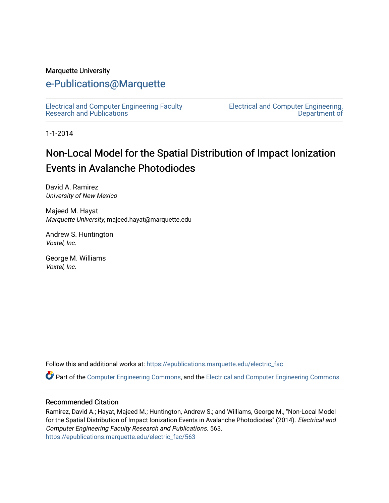#### Marquette University

### [e-Publications@Marquette](https://epublications.marquette.edu/)

[Electrical and Computer Engineering Faculty](https://epublications.marquette.edu/electric_fac) [Research and Publications](https://epublications.marquette.edu/electric_fac) 

[Electrical and Computer Engineering,](https://epublications.marquette.edu/electric)  [Department of](https://epublications.marquette.edu/electric) 

1-1-2014

# Non-Local Model for the Spatial Distribution of Impact Ionization Events in Avalanche Photodiodes

David A. Ramirez University of New Mexico

Majeed M. Hayat Marquette University, majeed.hayat@marquette.edu

Andrew S. Huntington Voxtel, Inc.

George M. Williams Voxtel, Inc.

Follow this and additional works at: [https://epublications.marquette.edu/electric\\_fac](https://epublications.marquette.edu/electric_fac?utm_source=epublications.marquette.edu%2Felectric_fac%2F563&utm_medium=PDF&utm_campaign=PDFCoverPages) 

Part of the [Computer Engineering Commons,](http://network.bepress.com/hgg/discipline/258?utm_source=epublications.marquette.edu%2Felectric_fac%2F563&utm_medium=PDF&utm_campaign=PDFCoverPages) and the [Electrical and Computer Engineering Commons](http://network.bepress.com/hgg/discipline/266?utm_source=epublications.marquette.edu%2Felectric_fac%2F563&utm_medium=PDF&utm_campaign=PDFCoverPages)

#### Recommended Citation

Ramirez, David A.; Hayat, Majeed M.; Huntington, Andrew S.; and Williams, George M., "Non-Local Model for the Spatial Distribution of Impact Ionization Events in Avalanche Photodiodes" (2014). Electrical and Computer Engineering Faculty Research and Publications. 563. [https://epublications.marquette.edu/electric\\_fac/563](https://epublications.marquette.edu/electric_fac/563?utm_source=epublications.marquette.edu%2Felectric_fac%2F563&utm_medium=PDF&utm_campaign=PDFCoverPages)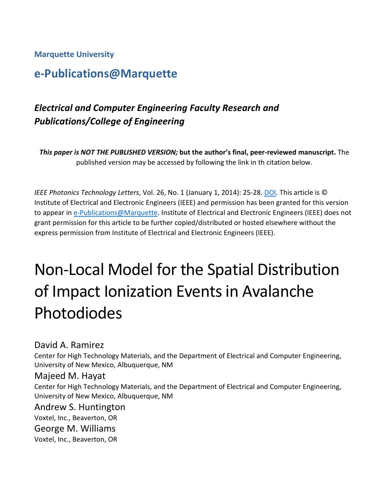**Marquette University**

## **e-Publications@Marquette**

## *Electrical and Computer Engineering Faculty Research and Publications/College of Engineering*

*This paper is NOT THE PUBLISHED VERSION;* **but the author's final, peer-reviewed manuscript.** The published version may be accessed by following the link in th citation below.

*IEEE Photonics Technology Letters*, Vol. 26, No. 1 (January 1, 2014): 25-28. [DOI.](https://doi.org/10.1109/LPT.2013.2289974) This article is © Institute of Electrical and Electronic Engineers (IEEE) and permission has been granted for this version to appear in [e-Publications@Marquette.](http://epublications.marquette.edu/) Institute of Electrical and Electronic Engineers (IEEE) does not grant permission for this article to be further copied/distributed or hosted elsewhere without the express permission from Institute of Electrical and Electronic Engineers (IEEE).

# Non-Local Model for the Spatial Distribution of Impact Ionization Events in Avalanche Photodiodes

David A. Ramirez

Center for High Technology Materials, and the Department of Electrical and Computer Engineering, University of New Mexico, Albuquerque, NM

#### Majeed M. Hayat

Center for High Technology Materials, and the Department of Electrical and Computer Engineering, University of New Mexico, Albuquerque, NM

#### Andrew S. Huntington

Voxtel, Inc., Beaverton, OR

George M. Williams

Voxtel, Inc., Beaverton, OR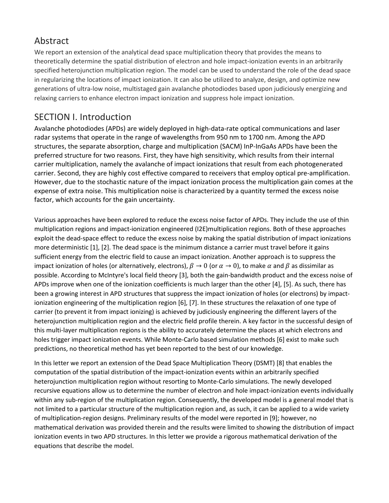## Abstract

We report an extension of the analytical dead space multiplication theory that provides the means to theoretically determine the spatial distribution of electron and hole impact-ionization events in an arbitrarily specified heterojunction multiplication region. The model can be used to understand the role of the dead space in regularizing the locations of impact ionization. It can also be utilized to analyze, design, and optimize new generations of ultra-low noise, multistaged gain avalanche photodiodes based upon judiciously energizing and relaxing carriers to enhance electron impact ionization and suppress hole impact ionization.

#### SECTION I. Introduction

Avalanche photodiodes (APDs) are widely deployed in high-data-rate optical communications and laser radar systems that operate in the range of wavelengths from 950 nm to 1700 nm. Among the APD structures, the separate absorption, charge and multiplication (SACM) InP-InGaAs APDs have been the preferred structure for two reasons. First, they have high sensitivity, which results from their internal carrier multiplication, namely the avalanche of impact ionizations that result from each photogenerated carrier. Second, they are highly cost effective compared to receivers that employ optical pre-amplification. However, due to the stochastic nature of the impact ionization process the multiplication gain comes at the expense of extra noise. This multiplication noise is characterized by a quantity termed the excess noise factor, which accounts for the gain uncertainty.

Various approaches have been explored to reduce the excess noise factor of APDs. They include the use of thin multiplication regions and impact-ionization engineered (I2E)multiplication regions. Both of these approaches exploit the dead-space effect to reduce the excess noise by making the spatial distribution of impact ionizations more deterministic [1], [2]. The dead space is the minimum distance a carrier must travel before it gains sufficient energy from the electric field to cause an impact ionization. Another approach is to suppress the impact ionization of holes (or alternatively, electrons),  $\beta \to 0$  (or  $\alpha \to 0$ ), to make  $\alpha$  and  $\beta$  as dissimilar as possible. According to McIntyre's local field theory [3], both the gain-bandwidth product and the excess noise of APDs improve when one of the ionization coefficients is much larger than the other [4], [5]. As such, there has been a growing interest in APD structures that suppress the impact ionization of holes (or electrons) by impactionization engineering of the multiplication region [6], [7]. In these structures the relaxation of one type of carrier (to prevent it from impact ionizing) is achieved by judiciously engineering the different layers of the heterojunction multiplication region and the electric field profile therein. A key factor in the successful design of this multi-layer multiplication regions is the ability to accurately determine the places at which electrons and holes trigger impact ionization events. While Monte-Carlo based simulation methods [6] exist to make such predictions, no theoretical method has yet been reported to the best of our knowledge.

In this letter we report an extension of the Dead Space Multiplication Theory (DSMT) [8] that enables the computation of the spatial distribution of the impact-ionization events within an arbitrarily specified heterojunction multiplication region without resorting to Monte-Carlo simulations. The newly developed recursive equations allow us to determine the number of electron and hole impact-ionization events individually within any sub-region of the multiplication region. Consequently, the developed model is a general model that is not limited to a particular structure of the multiplication region and, as such, it can be applied to a wide variety of multiplication-region designs. Preliminary results of the model were reported in [9]; however, no mathematical derivation was provided therein and the results were limited to showing the distribution of impact ionization events in two APD structures. In this letter we provide a rigorous mathematical derivation of the equations that describe the model.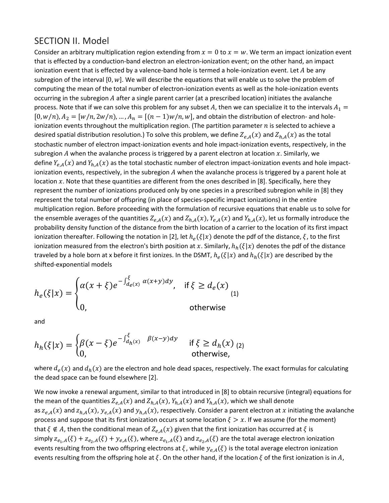#### SECTION II. Model

Consider an arbitrary multiplication region extending from  $x = 0$  to  $x = w$ . We term an impact ionization event that is effected by a conduction-band electron an electron-ionization event; on the other hand, an impact ionization event that is effected by a valence-band hole is termed a hole-ionization event. Let  $A$  be any subregion of the interval  $[0, w]$ . We will describe the equations that will enable us to solve the problem of computing the mean of the total number of electron-ionization events as well as the hole-ionization events occurring in the subregion A after a single parent carrier (at a prescribed location) initiates the avalanche process. Note that if we can solve this problem for any subset A, then we can specialize it to the intervals  $A_1 =$  $[0, w/n]$ ,  $A_2 = [w/n, 2w/n]$ , ...,  $A_n = [(n-1)w/n, w]$ , and obtain the distribution of electron- and holeionization events throughout the multiplication region. (The partition parameter  $n$  is selected to achieve a desired spatial distribution resolution.) To solve this problem, we define  $Z_{e,A}(x)$  and  $Z_{h,A}(x)$  as the total stochastic number of electron impact-ionization events and hole impact-ionization events, respectively, in the subregion  $A$  when the avalanche process is triggered by a parent electron at location  $x$ . Similarly, we define  $Y_{e,A}(x)$  and  $Y_{h,A}(x)$  as the total stochastic number of electron impact-ionization events and hole impactionization events, respectively, in the subregion  $A$  when the avalanche process is triggered by a parent hole at location  $x$ . Note that these quantities are different from the ones described in [8]. Specifically, here they represent the number of ionizations produced only by one species in a prescribed subregion while in [8] they represent the total number of offspring (in place of species-specific impact ionizations) in the entire multiplication region. Before proceeding with the formulation of recursive equations that enable us to solve for the ensemble averages of the quantities  $Z_{e,A}(x)$  and  $Z_{h,A}(x)$ ,  $Y_{e,A}(x)$  and  $Y_{h,A}(x)$ , let us formally introduce the probability density function of the distance from the birth location of a carrier to the location of its first impact ionization thereafter. Following the notation in [2], let  $h_e(\xi|x)$  denote the pdf of the distance,  $\xi$ , to the first ionization measured from the electron's birth position at x. Similarly,  $h_h(\xi|x)$  denotes the pdf of the distance traveled by a hole born at x before it first ionizes. In the DSMT,  $h_e(\xi|x)$  and  $h_h(\xi|x)$  are described by the shifted-exponential models

$$
h_e(\xi|x) = \begin{cases} \alpha(x+\xi)e^{-\int_{d_e(x)}^{\xi} \alpha(x+y)dy}, & \text{if } \xi \ge d_e(x) \\ 0, & \text{otherwise} \end{cases}
$$
 (1)

and

$$
h_h(\xi|x) = \begin{cases} \beta(x-\xi)e^{-\int_{d_h(x)}^{\xi} \beta(x-y)dy} & \text{if } \xi \ge d_h(x) \\ 0, & \text{otherwise,} \end{cases}
$$

where  $d_e(x)$  and  $d_h(x)$  are the electron and hole dead spaces, respectively. The exact formulas for calculating the dead space can be found elsewhere [2].

We now invoke a renewal argument, similar to that introduced in [8] to obtain recursive (integral) equations for the mean of the quantities  $Z_{e,A}(x)$  and  $Z_{h,A}(x)$ ,  $Y_{h,A}(x)$  and  $Y_{h,A}(x)$ , which we shall denote as  $z_{e,A}(x)$  and  $z_{h,A}(x)$ ,  $y_{e,A}(x)$  and  $y_{h,A}(x)$ , respectively. Consider a parent electron at x initiating the avalanche process and suppose that its first ionization occurs at some location  $\xi > x$ . If we assume (for the moment) that  $\xi \notin A$ , then the conditional mean of  $Z_{e,A}(x)$  given that the first ionization has occurred at  $\xi$  is simply  $z_{e_1,A}(\xi) + z_{e_2,A}(\xi) + y_{e,A}(\xi)$ , where  $z_{e_1,A}(\xi)$  and  $z_{e_2,A}(\xi)$  are the total average electron ionization events resulting from the two offspring electrons at  $\xi$ , while  $y_{e,A}(\xi)$  is the total average electron ionization events resulting from the offspring hole at  $\xi$ . On the other hand, if the location  $\xi$  of the first ionization is in A,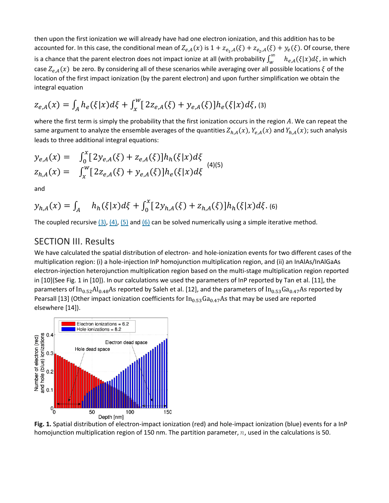then upon the first ionization we will already have had one electron ionization, and this addition has to be accounted for. In this case, the conditional mean of  $Z_{e,A}(x)$  is  $1 + z_{e_1,A}(\xi) + z_{e_2,A}(\xi) + y_e(\xi)$ . Of course, there is a chance that the parent electron does not impact ionize at all (with probability  $\int_w^\infty-h_{e,A}(\xi|x)d\xi$ , in which case  $Z_{e,A}(x)$  be zero. By considering all of these scenarios while averaging over all possible locations  $\xi$  of the location of the first impact ionization (by the parent electron) and upon further simplification we obtain the integral equation

$$
z_{e,A}(x) = \int_A h_e(\xi|x) d\xi + \int_x^w [2z_{e,A}(\xi) + y_{e,A}(\xi)] h_e(\xi|x) d\xi
$$
 (3)

where the first term is simply the probability that the first ionization occurs in the region  $A$ . We can repeat the same argument to analyze the ensemble averages of the quantities  $Z_{h,A}(x)$ ,  $Y_{e,A}(x)$  and  $Y_{h,A}(x)$ ; such analysis leads to three additional integral equations:

$$
y_{e,A}(x) = \int_0^x [2y_{e,A}(\xi) + z_{e,A}(\xi)]h_h(\xi|x)d\xi
$$
  
\n
$$
z_{h,A}(x) = \int_x^w [2z_{e,A}(\xi) + y_{e,A}(\xi)]h_e(\xi|x)d\xi
$$
\n(4)(5)

and

$$
y_{h,A}(x) = \int_A h_h(\xi|x)d\xi + \int_0^x [2y_{h,A}(\xi) + z_{h,A}(\xi)]h_h(\xi|x)d\xi.
$$
 (6)

The coupled recursive  $(3)$ ,  $(4)$ ,  $(5)$  and  $(6)$  can be solved numerically using a simple iterative method.

#### SECTION III. Results

We have calculated the spatial distribution of electron- and hole-ionization events for two different cases of the multiplication region: (i) a hole-injection InP homojunction multiplication region, and (ii) an InAlAs/InAlGaAs electron-injection heterojunction multiplication region based on the multi-stage multiplication region reported in [10](See Fig. 1 in [10]). In our calculations we used the parameters of InP reported by Tan et al. [11], the parameters of  $In_{0.52}Al_{0.48}As$  reported by Saleh et al. [12], and the parameters of  $In_{0.53}Ga_{0.47}As$  reported by Pearsall [13] (Other impact ionization coefficients for  $In<sub>0.53</sub>Ga<sub>0.47</sub>As$  that may be used are reported elsewhere [14]).



**Fig. 1.** Spatial distribution of electron-impact ionization (red) and hole-impact ionization (blue) events for a InP homojunction multiplication region of 150 nm. The partition parameter,  $n$ , used in the calculations is 50.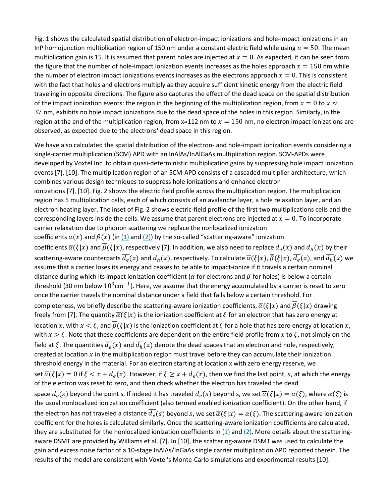Fig. 1 shows the calculated spatial distribution of electron-impact ionizations and hole-impact ionizations in an InP homojunction multiplication region of 150 nm under a constant electric field while using  $n = 50$ . The mean multiplication gain is 15. It is assumed that parent holes are injected at  $x = 0$ . As expected, it can be seen from the figure that the number of hole-impact ionization events increases as the holes approach  $x = 150$  nm while the number of electron impact ionizations events increases as the electrons approach  $x = 0$ . This is consistent with the fact that holes and electrons multiply as they acquire sufficient kinetic energy from the electric field traveling in opposite directions. The figure also captures the effect of the dead space on the spatial distribution of the impact ionization events: the region in the beginning of the multiplication region, from  $x = 0$  to  $x \approx$ 37 nm, exhibits no hole impact ionizations due to the dead space of the holes in this region. Similarly, in the region at the end of the multiplication region, from  $x \approx 112$  nm to  $x = 150$  nm, no electron impact ionizations are observed, as expected due to the electrons' dead space in this region.

We have also calculated the spatial distribution of the electron- and hole-impact ionization events considering a single-carrier multiplication (SCM) APD with an InAlAs/InAlGaAs multiplication region. SCM-APDs were developed by Voxtel Inc. to obtain quasi-deterministic multiplication gains by suppressing hole impact ionization events [7], [10]. The multiplication region of an SCM-APD consists of a cascaded multiplier architecture, which combines various design techniques to suppress hole ionizations and enhance electron ionizations [7], [10]. Fig. 2 shows the electric field profile across the multiplication region. The multiplication region has 5 multiplication cells, each of which consists of an avalanche layer, a hole relaxation layer, and an electron heating layer. The inset of Fig. 2 shows electric-field profile of the first two multiplications cells and the corresponding layers inside the cells. We assume that parent electrons are injected at  $x = 0$ . To incorporate carrier relaxation due to phonon scattering we replace the nonlocalized ionization coefficients  $\alpha(x)$  and  $\beta(x)$  (in  $(1)$  and  $(2)$ ) by the so-called "scattering-aware" ionization coefficients  $\overline{\alpha}(\xi|x)$  and  $\overline{\beta}(\xi|x)$ , respectively [7]. In addition, we also need to replace  $d_e(x)$  and  $d_h(x)$  by their scattering-aware counterparts  $\overline{d_e}(x)$  and  $d_h(x)$ , respectively. To calculate  $\overline{\alpha}(\xi|x)$ ,  $\overline{\beta}(\xi|x)$ ,  $\overline{d_e}(x)$ , and  $\overline{d_h}(x)$  we assume that a carrier loses its energy and ceases to be able to impact-ionize if it travels a certain nominal distance during which its impact ionization coefficient ( $\alpha$  for electrons and  $\beta$  for holes) is below a certain threshold (30 nm below  $10^3$ cm<sup>-1</sup>). Here, we assume that the energy accumulated by a carrier is reset to zero once the carrier travels the nominal distance under a field that falls below a certain threshold. For completeness, we briefly describe the scattering-aware ionization coefficients,  $\overline{\alpha}(\xi|x)$  and  $\overline{\beta}(\xi|x)$  drawing freely from [7]. The quantity  $\overline{\alpha}(\xi|x)$  is the ionization coefficient at  $\xi$  for an electron that has zero energy at location x, with  $x < \xi$ , and  $\overline{\beta}(\xi|x)$  is the ionization coefficient at  $\xi$  for a hole that has zero energy at location x, with  $x > \xi$ . Note that these coefficients are dependent on the entire field profile from x to  $\xi$ , not simply on the field at  $\xi$ . The quantities  $d_e(x)$  and  $d_h(x)$  denote the dead spaces that an electron and hole, respectively, created at location  $x$  in the multiplication region must travel before they can accumulate their ionization threshold energy in the material. For an electron starting at location x with zero energy reserve, we set  $\overline{\alpha}(\xi|x) = 0$  if  $\xi < x + \overline{d_e}(x)$ . However, if  $\xi \ge x + \overline{d_e}(x)$ , then we find the last point, s, at which the energy of the electron was reset to zero, and then check whether the electron has traveled the dead space  $\overline{d_e}(s)$  beyond the point s. If indeed it has traveled  $\overline{d_e}(s)$  beyond s, we set  $\overline{\alpha}(\xi|x) = \alpha(\xi)$ , where  $\alpha(\xi)$  is the usual nonlocalized ionization coefficient (also termed enabled ionization coefficient). On the other hand, if the electron has not traveled a distance  $\overline{d_e}(s)$  beyond s, we set  $\overline{\alpha}(\xi|x) = \alpha(\xi)$ . The scattering-aware ionization coefficient for the holes is calculated similarly. Once the scattering-aware ionization coefficients are calculated, they are substituted for the nonlocalized ionization coefficients in  $(1)$  and  $(2)$ . More details about the scatteringaware DSMT are provided by Williams et al. [7]. In [10], the scattering-aware DSMT was used to calculate the gain and excess noise factor of a 10-stage InAlAs/InGaAs single carrier multiplication APD reported therein. The results of the model are consistent with Voxtel's Monte-Carlo simulations and experimental results [10].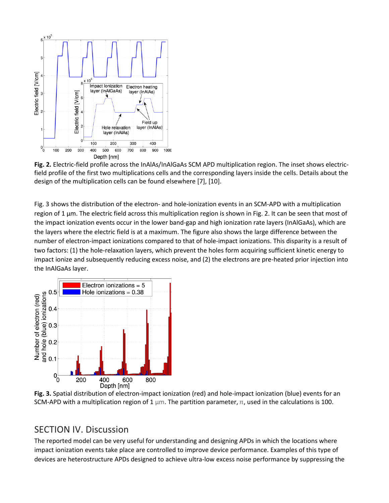

**Fig. 2.** Electric-field profile across the InAlAs/InAlGaAs SCM APD multiplication region. The inset shows electricfield profile of the first two multiplications cells and the corresponding layers inside the cells. Details about the design of the multiplication cells can be found elsewhere [7], [10].

Fig. 3 shows the distribution of the electron- and hole-ionization events in an SCM-APD with a multiplication region of 1 μm. The electric field across this multiplication region is shown in Fig. 2. It can be seen that most of the impact ionization events occur in the lower band-gap and high ionization rate layers (InAlGaAs), which are the layers where the electric field is at a maximum. The figure also shows the large difference between the number of electron-impact ionizations compared to that of hole-impact ionizations. This disparity is a result of two factors: (1) the hole-relaxation layers, which prevent the holes form acquiring sufficient kinetic energy to impact ionize and subsequently reducing excess noise, and (2) the electrons are pre-heated prior injection into the InAlGaAs layer.



**Fig. 3.** Spatial distribution of electron-impact ionization (red) and hole-impact ionization (blue) events for an SCM-APD with a multiplication region of 1  $\mu$ m. The partition parameter, n, used in the calculations is 100.

#### SECTION IV. Discussion

The reported model can be very useful for understanding and designing APDs in which the locations where impact ionization events take place are controlled to improve device performance. Examples of this type of devices are heterostructure APDs designed to achieve ultra-low excess noise performance by suppressing the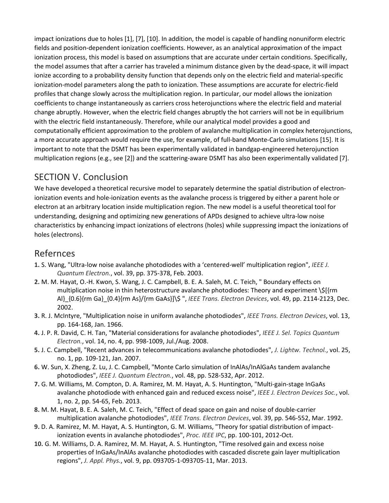impact ionizations due to holes [1], [7], [10]. In addition, the model is capable of handling nonuniform electric fields and position-dependent ionization coefficients. However, as an analytical approximation of the impact ionization process, this model is based on assumptions that are accurate under certain conditions. Specifically, the model assumes that after a carrier has traveled a minimum distance given by the dead-space, it will impact ionize according to a probability density function that depends only on the electric field and material-specific ionization-model parameters along the path to ionization. These assumptions are accurate for electric-field profiles that change slowly across the multiplication region. In particular, our model allows the ionization coefficients to change instantaneously as carriers cross heterojunctions where the electric field and material change abruptly. However, when the electric field changes abruptly the hot carriers will not be in equilibrium with the electric field instantaneously. Therefore, while our analytical model provides a good and computationally efficient approximation to the problem of avalanche multiplication in complex heterojunctions, a more accurate approach would require the use, for example, of full-band Monte-Carlo simulations [15]. It is important to note that the DSMT has been experimentally validated in bandgap-engineered heterojunction multiplication regions (e.g., see [2]) and the scattering-aware DSMT has also been experimentally validated [7].

### SECTION V. Conclusion

We have developed a theoretical recursive model to separately determine the spatial distribution of electronionization events and hole-ionization events as the avalanche process is triggered by either a parent hole or electron at an arbitrary location inside multiplication region. The new model is a useful theoretical tool for understanding, designing and optimizing new generations of APDs designed to achieve ultra-low noise characteristics by enhancing impact ionizations of electrons (holes) while suppressing impact the ionizations of holes (electrons).

#### Refernces

- **1.** S. Wang, "Ultra-low noise avalanche photodiodes with a 'centered-well' multiplication region", *IEEE J. Quantum Electron.*, vol. 39, pp. 375-378, Feb. 2003.
- **2.** M. M. Hayat, O.-H. Kwon, S. Wang, J. C. Campbell, B. E. A. Saleh, M. C. Teich, " Boundary effects on multiplication noise in thin heterostructure avalanche photodiodes: Theory and experiment \\$[{rm Al}\_{0.6}{rm Ga}\_{0.4}{rm As}/{rm GaAs}]\\$ ", *IEEE Trans. Electron Devices*, vol. 49, pp. 2114-2123, Dec. 2002.
- **3.** R. J. McIntyre, "Multiplication noise in uniform avalanche photodiodes", *IEEE Trans. Electron Devices*, vol. 13, pp. 164-168, Jan. 1966.
- **4.** J. P. R. David, C. H. Tan, "Material considerations for avalanche photodiodes", *IEEE J. Sel. Topics Quantum Electron.*, vol. 14, no. 4, pp. 998-1009, Jul./Aug. 2008.
- **5.** J. C. Campbell, "Recent advances in telecommunications avalanche photodiodes", *J. Lightw. Technol.*, vol. 25, no. 1, pp. 109-121, Jan. 2007.
- **6.** W. Sun, X. Zheng, Z. Lu, J. C. Campbell, "Monte Carlo simulation of InAlAs/InAlGaAs tandem avalanche photodiodes", *IEEE J. Quantum Electron.*, vol. 48, pp. 528-532, Apr. 2012.
- **7.** G. M. Williams, M. Compton, D. A. Ramirez, M. M. Hayat, A. S. Huntington, "Multi-gain-stage InGaAs avalanche photodiode with enhanced gain and reduced excess noise", *IEEE J. Electron Devices Soc.*, vol. 1, no. 2, pp. 54-65, Feb. 2013.
- **8.** M. M. Hayat, B. E. A. Saleh, M. C. Teich, "Effect of dead space on gain and noise of double-carrier multiplication avalanche photodiodes", *IEEE Trans. Electron Devices*, vol. 39, pp. 546-552, Mar. 1992.
- **9.** D. A. Ramirez, M. M. Hayat, A. S. Huntington, G. M. Williams, "Theory for spatial distribution of impactionization events in avalanche photodiodes", *Proc. IEEE IPC*, pp. 100-101, 2012-Oct.
- **10.** G. M. Williams, D. A. Ramirez, M. M. Hayat, A. S. Huntington, "Time resolved gain and excess noise properties of InGaAs/InAlAs avalanche photodiodes with cascaded discrete gain layer multiplication regions", *J. Appl. Phys.*, vol. 9, pp. 093705-1-093705-11, Mar. 2013.